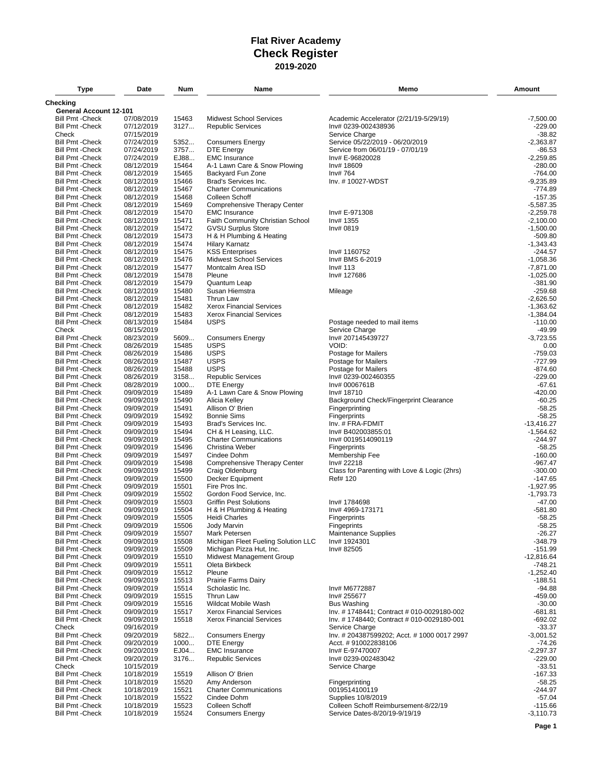| Type                                               | Date                     | Num            | Name                                                 | Memo                                         | Amount                      |
|----------------------------------------------------|--------------------------|----------------|------------------------------------------------------|----------------------------------------------|-----------------------------|
| <b>Checking</b>                                    |                          |                |                                                      |                                              |                             |
| General Account 12-101                             |                          |                |                                                      |                                              |                             |
| <b>Bill Pmt -Check</b><br><b>Bill Pmt - Check</b>  | 07/08/2019               | 15463          | <b>Midwest School Services</b>                       | Academic Accelerator (2/21/19-5/29/19)       | $-7.500.00$<br>$-229.00$    |
| Check                                              | 07/12/2019<br>07/15/2019 | 3127           | <b>Republic Services</b>                             | Inv# 0239-002438936<br>Service Charge        | -38.82                      |
| <b>Bill Pmt - Check</b>                            | 07/24/2019               | 5352           | <b>Consumers Energy</b>                              | Service 05/22/2019 - 06/20/2019              | $-2,363.87$                 |
| <b>Bill Pmt - Check</b>                            | 07/24/2019               | 3757           | <b>DTE Energy</b>                                    | Service from 06/01/19 - 07/01/19             | -86.53                      |
| <b>Bill Pmt - Check</b>                            | 07/24/2019               | EJ88           | <b>EMC</b> Insurance                                 | Inv# E-96820028                              | $-2,259.85$                 |
| <b>Bill Pmt - Check</b>                            | 08/12/2019               | 15464          | A-1 Lawn Care & Snow Plowing                         | Inv# 18609                                   | $-280.00$                   |
| <b>Bill Pmt - Check</b><br><b>Bill Pmt - Check</b> | 08/12/2019<br>08/12/2019 | 15465<br>15466 | Backyard Fun Zone<br>Brad's Services Inc.            | Inv# 764<br>Inv. #10027-WDST                 | $-764.00$<br>$-9.235.89$    |
| <b>Bill Pmt - Check</b>                            | 08/12/2019               | 15467          | <b>Charter Communications</b>                        |                                              | $-774.89$                   |
| <b>Bill Pmt - Check</b>                            | 08/12/2019               | 15468          | Colleen Schoff                                       |                                              | $-157.35$                   |
| <b>Bill Pmt - Check</b>                            | 08/12/2019               | 15469          | Comprehensive Therapy Center                         |                                              | $-5,587.35$                 |
| <b>Bill Pmt - Check</b>                            | 08/12/2019               | 15470          | <b>EMC</b> Insurance                                 | Inv# E-971308                                | $-2,259.78$                 |
| <b>Bill Pmt - Check</b>                            | 08/12/2019               | 15471          | Faith Community Christian School                     | Inv# 1355                                    | $-2,100.00$                 |
| <b>Bill Pmt - Check</b>                            | 08/12/2019               | 15472          | <b>GVSU Surplus Store</b>                            | Inv# 0819                                    | $-1,500.00$                 |
| <b>Bill Pmt - Check</b><br><b>Bill Pmt - Check</b> | 08/12/2019<br>08/12/2019 | 15473<br>15474 | H & H Plumbing & Heating<br><b>Hilary Karnatz</b>    |                                              | $-509.80$<br>$-1,343.43$    |
| <b>Bill Pmt - Check</b>                            | 08/12/2019               | 15475          | <b>KSS Enterprises</b>                               | Inv# 1160752                                 | -244.57                     |
| <b>Bill Pmt - Check</b>                            | 08/12/2019               | 15476          | <b>Midwest School Services</b>                       | Inv# BMS 6-2019                              | $-1,058.36$                 |
| <b>Bill Pmt - Check</b>                            | 08/12/2019               | 15477          | Montcalm Area ISD                                    | Inv# 113                                     | $-7,871.00$                 |
| <b>Bill Pmt - Check</b>                            | 08/12/2019               | 15478          | Pleune                                               | Inv# 127686                                  | $-1,025.00$                 |
| <b>Bill Pmt - Check</b>                            | 08/12/2019               | 15479          | Quantum Leap                                         |                                              | $-381.90$                   |
| <b>Bill Pmt - Check</b>                            | 08/12/2019               | 15480          | Susan Hiemstra                                       | Mileage                                      | $-259.68$                   |
| <b>Bill Pmt - Check</b><br><b>Bill Pmt - Check</b> | 08/12/2019<br>08/12/2019 | 15481<br>15482 | Thrun Law<br><b>Xerox Financial Services</b>         |                                              | $-2,626.50$<br>$-1,363.62$  |
| <b>Bill Pmt - Check</b>                            | 08/12/2019               | 15483          | <b>Xerox Financial Services</b>                      |                                              | $-1,384.04$                 |
| <b>Bill Pmt - Check</b>                            | 08/13/2019               | 15484          | <b>USPS</b>                                          | Postage needed to mail items                 | $-110.00$                   |
| Check                                              | 08/15/2019               |                |                                                      | Service Charge                               | -49.99                      |
| <b>Bill Pmt - Check</b>                            | 08/23/2019               | 5609           | <b>Consumers Energy</b>                              | Inv# 207145439727                            | $-3,723.55$                 |
| <b>Bill Pmt - Check</b>                            | 08/26/2019               | 15485          | <b>USPS</b>                                          | VOID:                                        | 0.00                        |
| <b>Bill Pmt - Check</b>                            | 08/26/2019               | 15486          | <b>USPS</b>                                          | Postage for Mailers                          | $-759.03$                   |
| <b>Bill Pmt - Check</b><br><b>Bill Pmt - Check</b> | 08/26/2019<br>08/26/2019 | 15487<br>15488 | <b>USPS</b><br><b>USPS</b>                           | Postage for Mailers<br>Postage for Mailers   | $-727.99$<br>$-874.60$      |
| <b>Bill Pmt - Check</b>                            | 08/26/2019               | 3158           | <b>Republic Services</b>                             | Inv# 0239-002460355                          | $-229.00$                   |
| <b>Bill Pmt - Check</b>                            | 08/28/2019               | 1000           | <b>DTE Energy</b>                                    | Inv# 0006761B                                | $-67.61$                    |
| <b>Bill Pmt - Check</b>                            | 09/09/2019               | 15489          | A-1 Lawn Care & Snow Plowing                         | Inv# 18710                                   | $-420.00$                   |
| <b>Bill Pmt - Check</b>                            | 09/09/2019               | 15490          | Alicia Kelley                                        | Background Check/Fingerprint Clearance       | $-60.25$                    |
| <b>Bill Pmt - Check</b>                            | 09/09/2019               | 15491          | Allison O' Brien                                     | Fingerprinting                               | $-58.25$                    |
| <b>Bill Pmt - Check</b>                            | 09/09/2019               | 15492          | <b>Bonnie Sims</b>                                   | Fingerprints                                 | $-58.25$                    |
| <b>Bill Pmt - Check</b><br><b>Bill Pmt - Check</b> | 09/09/2019<br>09/09/2019 | 15493<br>15494 | Brad's Services Inc.<br>CH & H Leasing, LLC.         | Inv. # FRA-FDMIT<br>Inv# B402003855:01       | $-13,416.27$<br>$-1,564.62$ |
| <b>Bill Pmt - Check</b>                            | 09/09/2019               | 15495          | <b>Charter Communications</b>                        | Inv# 0019514090119                           | $-244.97$                   |
| <b>Bill Pmt - Check</b>                            | 09/09/2019               | 15496          | Christina Weber                                      | Fingerprints                                 | $-58.25$                    |
| <b>Bill Pmt - Check</b>                            | 09/09/2019               | 15497          | Cindee Dohm                                          | Membership Fee                               | $-160.00$                   |
| <b>Bill Pmt - Check</b>                            | 09/09/2019               | 15498          | Comprehensive Therapy Center                         | Inv# 22218                                   | $-967.47$                   |
| <b>Bill Pmt - Check</b>                            | 09/09/2019               | 15499          | Craig Oldenburg                                      | Class for Parenting with Love & Logic (2hrs) | $-300.00$                   |
| <b>Bill Pmt - Check</b><br><b>Bill Pmt - Check</b> | 09/09/2019<br>09/09/2019 | 15500<br>15501 | Decker Equipment<br>Fire Pros Inc.                   | Ref# 120                                     | -147.65<br>$-1,927.95$      |
| <b>Bill Pmt - Check</b>                            | 09/09/2019               | 15502          | Gordon Food Service, Inc.                            |                                              | $-1,793.73$                 |
| <b>Bill Pmt - Check</b>                            | 09/09/2019               | 15503          | <b>Griffin Pest Solutions</b>                        | Inv# 1784698                                 | $-47.00$                    |
| <b>Bill Pmt - Check</b>                            | 09/09/2019               | 15504          | H & H Plumbing & Heating                             | Inv# 4969-173171                             | $-581.80$                   |
| <b>Bill Pmt - Check</b>                            | 09/09/2019               | 15505          | <b>Heidi Charles</b>                                 | Fingerprints                                 | $-58.25$                    |
| <b>Bill Pmt - Check</b>                            | 09/09/2019               | 15506          | Jody Marvin                                          | Fingeprints                                  | $-58.25$                    |
| <b>Bill Pmt - Check</b>                            | 09/09/2019               | 15507          | Mark Petersen<br>Michigan Fleet Fueling Solution LLC | <b>Maintenance Supplies</b>                  | $-26.27$                    |
| <b>Bill Pmt - Check</b><br><b>Bill Pmt - Check</b> | 09/09/2019<br>09/09/2019 | 15508<br>15509 | Michigan Pizza Hut, Inc.                             | Inv# 1924301<br>Inv# 82505                   | $-348.79$<br>$-151.99$      |
| <b>Bill Pmt - Check</b>                            | 09/09/2019               | 15510          | Midwest Management Group                             |                                              | $-12,816.64$                |
| <b>Bill Pmt - Check</b>                            | 09/09/2019               | 15511          | Oleta Birkbeck                                       |                                              | -748.21                     |
| <b>Bill Pmt - Check</b>                            | 09/09/2019               | 15512          | Pleune                                               |                                              | $-1,252.40$                 |
| <b>Bill Pmt - Check</b>                            | 09/09/2019               | 15513          | Prairie Farms Dairy                                  |                                              | $-188.51$                   |
| <b>Bill Pmt - Check</b>                            | 09/09/2019               | 15514          | Scholastic Inc.                                      | Inv# M6772887                                | $-94.88$                    |
| <b>Bill Pmt - Check</b><br><b>Bill Pmt - Check</b> | 09/09/2019<br>09/09/2019 | 15515<br>15516 | Thrun Law<br>Wildcat Mobile Wash                     | Inv# 255677<br><b>Bus Washing</b>            | -459.00<br>$-30.00$         |
| <b>Bill Pmt - Check</b>                            | 09/09/2019               | 15517          | <b>Xerox Financial Services</b>                      | Inv. #1748441; Contract #010-0029180-002     | -681.81                     |
| <b>Bill Pmt - Check</b>                            | 09/09/2019               | 15518          | <b>Xerox Financial Services</b>                      | Inv. #1748440; Contract #010-0029180-001     | $-692.02$                   |
| Check                                              | 09/16/2019               |                |                                                      | Service Charge                               | $-33.37$                    |
| <b>Bill Pmt - Check</b>                            | 09/20/2019               | 5822           | <b>Consumers Energy</b>                              | Inv. # 204387599202; Acct. # 1000 0017 2997  | $-3,001.52$                 |
| <b>Bill Pmt - Check</b>                            | 09/20/2019               | 1000           | <b>DTE Energy</b>                                    | Acct. #910022838106                          | $-74.26$                    |
| <b>Bill Pmt - Check</b>                            | 09/20/2019               | EJ04           | <b>EMC</b> Insurance                                 | Inv# E-97470007                              | $-2,297.37$                 |
| <b>Bill Pmt - Check</b><br>Check                   | 09/20/2019<br>10/15/2019 | 3176           | <b>Republic Services</b>                             | Inv# 0239-002483042<br>Service Charge        | $-229.00$<br>$-33.51$       |
| <b>Bill Pmt - Check</b>                            | 10/18/2019               | 15519          | Allison O' Brien                                     |                                              | $-167.33$                   |
| <b>Bill Pmt - Check</b>                            | 10/18/2019               | 15520          | Amy Anderson                                         | Fingerprinting                               | $-58.25$                    |
| <b>Bill Pmt - Check</b>                            | 10/18/2019               | 15521          | <b>Charter Communications</b>                        | 0019514100119                                | -244.97                     |
| <b>Bill Pmt - Check</b>                            | 10/18/2019               | 15522          | Cindee Dohm                                          | Supplies 10/8/2019                           | $-57.04$                    |
| <b>Bill Pmt - Check</b>                            | 10/18/2019               | 15523          | Colleen Schoff                                       | Colleen Schoff Reimbursement-8/22/19         | $-115.66$                   |
| <b>Bill Pmt - Check</b>                            | 10/18/2019               | 15524          | <b>Consumers Energy</b>                              | Service Dates-8/20/19-9/19/19                | $-3,110.73$                 |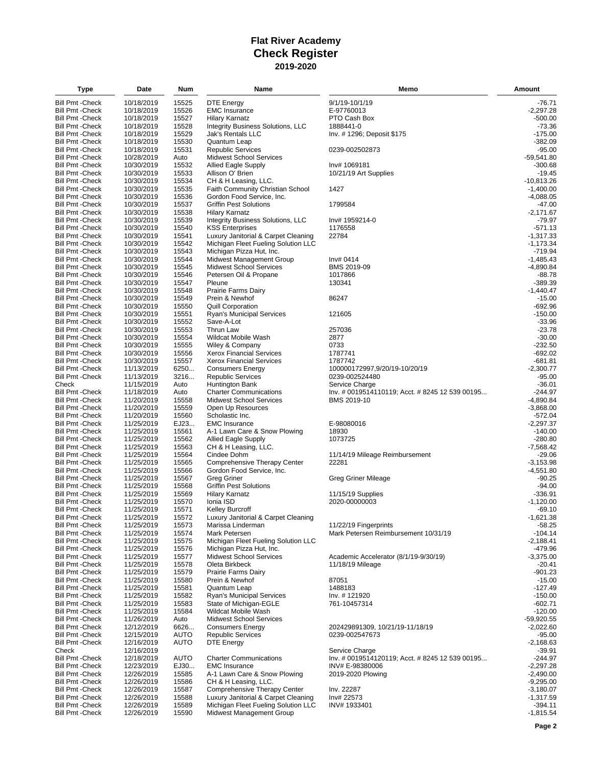| Type                                               | Date                     | Num            | Name                                                                       | Memo                                            | Amount                   |
|----------------------------------------------------|--------------------------|----------------|----------------------------------------------------------------------------|-------------------------------------------------|--------------------------|
| <b>Bill Pmt - Check</b>                            | 10/18/2019               | 15525          | DTE Energy                                                                 | 9/1/19-10/1/19                                  | -76.71                   |
| <b>Bill Pmt - Check</b>                            | 10/18/2019               | 15526          | <b>EMC</b> Insurance                                                       | E-97760013                                      | $-2,297.28$              |
| <b>Bill Pmt - Check</b>                            | 10/18/2019               | 15527          | Hilary Karnatz                                                             | PTO Cash Box                                    | $-500.00$                |
| <b>Bill Pmt - Check</b>                            | 10/18/2019               | 15528          | Integrity Business Solutions, LLC                                          | 1888441-0                                       | $-73.36$                 |
| <b>Bill Pmt - Check</b>                            | 10/18/2019               | 15529          | <b>Jak's Rentals LLC</b>                                                   | Inv. # 1296; Deposit \$175                      | $-175.00$                |
| <b>Bill Pmt - Check</b>                            | 10/18/2019               | 15530          | Quantum Leap                                                               |                                                 | -382.09                  |
| <b>Bill Pmt - Check</b>                            | 10/18/2019               | 15531          | <b>Republic Services</b>                                                   | 0239-002502873                                  | $-95.00$                 |
| <b>Bill Pmt - Check</b>                            | 10/28/2019               | Auto           | <b>Midwest School Services</b>                                             |                                                 | $-59,541.80$             |
| <b>Bill Pmt - Check</b>                            | 10/30/2019               | 15532          | <b>Allied Eagle Supply</b>                                                 | Inv# 1069181                                    | -300.68                  |
| <b>Bill Pmt - Check</b>                            | 10/30/2019               | 15533          | Allison O' Brien                                                           | 10/21/19 Art Supplies                           | $-19.45$                 |
| <b>Bill Pmt - Check</b>                            | 10/30/2019               | 15534          | CH & H Leasing, LLC.                                                       |                                                 | $-10,813.26$             |
| <b>Bill Pmt - Check</b>                            | 10/30/2019               | 15535          | Faith Community Christian School                                           | 1427                                            | $-1,400.00$              |
| <b>Bill Pmt - Check</b>                            | 10/30/2019               | 15536          | Gordon Food Service, Inc.                                                  |                                                 | $-4,088.05$              |
| <b>Bill Pmt - Check</b><br><b>Bill Pmt - Check</b> | 10/30/2019<br>10/30/2019 | 15537<br>15538 | <b>Griffin Pest Solutions</b>                                              | 1799584                                         | -47.00                   |
| <b>Bill Pmt - Check</b>                            | 10/30/2019               | 15539          | <b>Hilary Karnatz</b><br>Integrity Business Solutions, LLC                 | Inv# 1959214-0                                  | $-2,171.67$<br>-79.97    |
| <b>Bill Pmt - Check</b>                            | 10/30/2019               | 15540          | <b>KSS Enterprises</b>                                                     | 1176558                                         | $-571.13$                |
| <b>Bill Pmt - Check</b>                            | 10/30/2019               | 15541          | Luxury Janitorial & Carpet Cleaning                                        | 22784                                           | $-1,317.33$              |
| <b>Bill Pmt - Check</b>                            | 10/30/2019               | 15542          | Michigan Fleet Fueling Solution LLC                                        |                                                 | $-1,173.34$              |
| <b>Bill Pmt - Check</b>                            | 10/30/2019               | 15543          | Michigan Pizza Hut, Inc.                                                   |                                                 | $-719.94$                |
| <b>Bill Pmt - Check</b>                            | 10/30/2019               | 15544          | Midwest Management Group                                                   | Inv# 0414                                       | $-1,485.43$              |
| <b>Bill Pmt - Check</b>                            | 10/30/2019               | 15545          | <b>Midwest School Services</b>                                             | BMS 2019-09                                     | $-4,890.84$              |
| <b>Bill Pmt - Check</b>                            | 10/30/2019               | 15546          | Petersen Oil & Propane                                                     | 1017866                                         | -88.78                   |
| <b>Bill Pmt - Check</b>                            | 10/30/2019               | 15547          | Pleune                                                                     | 130341                                          | $-389.39$                |
| <b>Bill Pmt - Check</b>                            | 10/30/2019               | 15548          | Prairie Farms Dairy                                                        |                                                 | $-1,440.47$              |
| <b>Bill Pmt - Check</b>                            | 10/30/2019               | 15549          | Prein & Newhof                                                             | 86247                                           | -15.00                   |
| <b>Bill Pmt - Check</b>                            | 10/30/2019               | 15550          | Quill Corporation                                                          |                                                 | $-692.96$                |
| <b>Bill Pmt - Check</b>                            | 10/30/2019               | 15551          | <b>Ryan's Municipal Services</b>                                           | 121605                                          | $-150.00$                |
| <b>Bill Pmt - Check</b>                            | 10/30/2019               | 15552          | Save-A-Lot                                                                 |                                                 | $-33.96$                 |
| <b>Bill Pmt - Check</b>                            | 10/30/2019               | 15553          | Thrun Law                                                                  | 257036                                          | $-23.78$                 |
| <b>Bill Pmt - Check</b>                            | 10/30/2019               | 15554          | Wildcat Mobile Wash                                                        | 2877<br>0733                                    | $-30.00$                 |
| <b>Bill Pmt - Check</b><br><b>Bill Pmt - Check</b> | 10/30/2019<br>10/30/2019 | 15555<br>15556 | Wiley & Company<br><b>Xerox Financial Services</b>                         | 1787741                                         | $-232.50$<br>$-692.02$   |
| <b>Bill Pmt - Check</b>                            | 10/30/2019               | 15557          | <b>Xerox Financial Services</b>                                            | 1787742                                         | $-681.81$                |
| <b>Bill Pmt - Check</b>                            | 11/13/2019               | 6250           | <b>Consumers Energy</b>                                                    | 100000172997,9/20/19-10/20/19                   | $-2,300.77$              |
| <b>Bill Pmt - Check</b>                            | 11/13/2019               | 3216           | <b>Republic Services</b>                                                   | 0239-002524480                                  | $-95.00$                 |
| Check                                              | 11/15/2019               | Auto           | Huntington Bank                                                            | Service Charge                                  | $-36.01$                 |
| <b>Bill Pmt - Check</b>                            | 11/18/2019               | Auto           | <b>Charter Communications</b>                                              | Inv. # 0019514110119; Acct. # 8245 12 539 00195 | -244.97                  |
| <b>Bill Pmt - Check</b>                            | 11/20/2019               | 15558          | <b>Midwest School Services</b>                                             | BMS 2019-10                                     | $-4,890.84$              |
| <b>Bill Pmt - Check</b>                            | 11/20/2019               | 15559          | Open Up Resources                                                          |                                                 | $-3,868.00$              |
| <b>Bill Pmt - Check</b>                            | 11/20/2019               | 15560          | Scholastic Inc.                                                            |                                                 | $-572.04$                |
| <b>Bill Pmt - Check</b>                            | 11/25/2019               | EJ23           | <b>EMC Insurance</b>                                                       | E-98080016                                      | $-2,297.37$              |
| <b>Bill Pmt - Check</b>                            | 11/25/2019               | 15561          | A-1 Lawn Care & Snow Plowing                                               | 18930                                           | $-140.00$                |
| <b>Bill Pmt - Check</b>                            | 11/25/2019               | 15562          | <b>Allied Eagle Supply</b>                                                 | 1073725                                         | $-280.80$                |
| <b>Bill Pmt - Check</b>                            | 11/25/2019               | 15563          | CH & H Leasing, LLC.                                                       |                                                 | $-7,568.42$              |
| <b>Bill Pmt - Check</b>                            | 11/25/2019               | 15564          | Cindee Dohm                                                                | 11/14/19 Mileage Reimbursement                  | -29.06<br>$-3,153.98$    |
| <b>Bill Pmt - Check</b><br><b>Bill Pmt - Check</b> | 11/25/2019<br>11/25/2019 | 15565<br>15566 | <b>Comprehensive Therapy Center</b><br>Gordon Food Service, Inc.           | 22281                                           | $-4,551.80$              |
| <b>Bill Pmt - Check</b>                            | 11/25/2019               | 15567          | Greg Griner                                                                | Greg Griner Mileage                             | -90.25                   |
| <b>Bill Pmt - Check</b>                            | 11/25/2019               | 15568          | <b>Griffin Pest Solutions</b>                                              |                                                 | $-94.00$                 |
| <b>Bill Pmt - Check</b>                            | 11/25/2019               | 15569          | <b>Hilary Karnatz</b>                                                      | 11/15/19 Supplies                               | $-336.91$                |
| <b>Bill Pmt - Check</b>                            | 11/25/2019               | 15570          | Ionia ISD                                                                  | 2020-00000003                                   | $-1,120.00$              |
| <b>Bill Pmt - Check</b>                            | 11/25/2019               | 15571          | <b>Kelley Burcroff</b>                                                     |                                                 | $-69.10$                 |
| <b>Bill Pmt - Check</b>                            | 11/25/2019               | 15572          | Luxury Janitorial & Carpet Cleaning                                        |                                                 | $-1,621.38$              |
| <b>Bill Pmt - Check</b>                            | 11/25/2019               | 15573          | Marissa Linderman                                                          | 11/22/19 Fingerprints                           | $-58.25$                 |
| <b>Bill Pmt - Check</b>                            | 11/25/2019               | 15574          | Mark Petersen                                                              | Mark Petersen Reimbursement 10/31/19            | $-104.14$                |
| <b>Bill Pmt - Check</b>                            | 11/25/2019               | 15575          | Michigan Fleet Fueling Solution LLC                                        |                                                 | $-2,188.41$              |
| <b>Bill Pmt - Check</b>                            | 11/25/2019               | 15576          | Michigan Pizza Hut, Inc.                                                   |                                                 | -479.96                  |
| <b>Bill Pmt - Check</b>                            | 11/25/2019               | 15577          | <b>Midwest School Services</b>                                             | Academic Accelerator (8/1/19-9/30/19)           | $-3,375.00$              |
| <b>Bill Pmt - Check</b>                            | 11/25/2019               | 15578          | Oleta Birkbeck                                                             | 11/18/19 Mileage                                | -20.41                   |
| <b>Bill Pmt - Check</b>                            | 11/25/2019               | 15579          | Prairie Farms Dairy                                                        |                                                 | $-901.23$                |
| <b>Bill Pmt - Check</b>                            | 11/25/2019               | 15580          | Prein & Newhof                                                             | 87051                                           | $-15.00$                 |
| <b>Bill Pmt - Check</b><br><b>Bill Pmt - Check</b> | 11/25/2019<br>11/25/2019 | 15581<br>15582 | Quantum Leap<br>Ryan's Municipal Services                                  | 1488183<br>Inv. # 121920                        | $-127.49$<br>$-150.00$   |
| <b>Bill Pmt - Check</b>                            | 11/25/2019               | 15583          | State of Michigan-EGLE                                                     | 761-10457314                                    | $-602.71$                |
| <b>Bill Pmt - Check</b>                            | 11/25/2019               | 15584          | Wildcat Mobile Wash                                                        |                                                 | $-120.00$                |
| <b>Bill Pmt - Check</b>                            | 11/26/2019               | Auto           | <b>Midwest School Services</b>                                             |                                                 | -59,920.55               |
| <b>Bill Pmt - Check</b>                            | 12/12/2019               | 6626           | <b>Consumers Energy</b>                                                    | 202429891309, 10/21/19-11/18/19                 | $-2,022.60$              |
| <b>Bill Pmt - Check</b>                            | 12/15/2019               | AUTO           | <b>Republic Services</b>                                                   | 0239-002547673                                  | -95.00                   |
| <b>Bill Pmt - Check</b>                            | 12/16/2019               | AUTO           | <b>DTE Energy</b>                                                          |                                                 | $-2,168.63$              |
| Check                                              | 12/16/2019               |                |                                                                            | Service Charge                                  | -39.91                   |
| <b>Bill Pmt - Check</b>                            | 12/18/2019               | <b>AUTO</b>    | <b>Charter Communications</b>                                              | Inv. # 0019514120119; Acct. # 8245 12 539 00195 | $-244.97$                |
| <b>Bill Pmt - Check</b>                            | 12/23/2019               | EJ30           | <b>EMC</b> Insurance                                                       | INV# E-98380006                                 | $-2,297.28$              |
| <b>Bill Pmt - Check</b>                            | 12/26/2019               | 15585          | A-1 Lawn Care & Snow Plowing                                               | 2019-2020 Plowing                               | $-2,490.00$              |
| <b>Bill Pmt - Check</b>                            | 12/26/2019               | 15586          | CH & H Leasing, LLC.                                                       |                                                 | $-9,295.00$              |
| <b>Bill Pmt - Check</b>                            | 12/26/2019               | 15587          | Comprehensive Therapy Center                                               | Inv. 22287                                      | $-3,180.07$              |
| <b>Bill Pmt - Check</b><br><b>Bill Pmt - Check</b> | 12/26/2019<br>12/26/2019 | 15588<br>15589 | Luxury Janitorial & Carpet Cleaning<br>Michigan Fleet Fueling Solution LLC | Inv# 22573                                      | $-1,317.59$<br>$-394.11$ |
| <b>Bill Pmt - Check</b>                            | 12/26/2019               | 15590          | Midwest Management Group                                                   | INV#1933401                                     | $-1,815.54$              |
|                                                    |                          |                |                                                                            |                                                 |                          |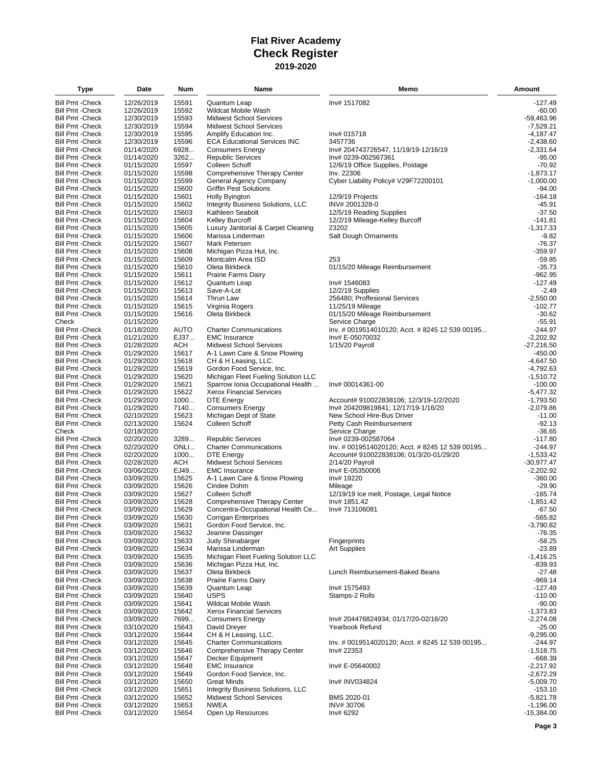| Type                                               | Date                     | Num           | Name                                              | Memo                                                              | Amount                  |
|----------------------------------------------------|--------------------------|---------------|---------------------------------------------------|-------------------------------------------------------------------|-------------------------|
| <b>Bill Pmt - Check</b>                            | 12/26/2019               | 15591         | Quantum Leap                                      | Inv# 1517082                                                      | $-127.49$               |
| <b>Bill Pmt - Check</b>                            | 12/26/2019               | 15592         | Wildcat Mobile Wash                               |                                                                   | $-60.00$                |
| <b>Bill Pmt - Check</b>                            | 12/30/2019               | 15593         | <b>Midwest School Services</b>                    |                                                                   | $-59,463.96$            |
| Bill Pmt - Check                                   | 12/30/2019               | 15594         | <b>Midwest School Services</b>                    |                                                                   | $-7,529.21$             |
| Bill Pmt - Check                                   | 12/30/2019               | 15595         | Amplify Education Inc.                            | Inv# 015718                                                       | $-4,187.47$             |
| Bill Pmt - Check                                   | 12/30/2019               | 15596         | <b>ECA Educational Services INC</b>               | 3457736                                                           | $-2,438.60$             |
| Bill Pmt - Check                                   | 01/14/2020               | 6928          | <b>Consumers Energy</b>                           | Inv# 204743726547, 11/19/19-12/16/19                              | $-2,331.64$             |
| <b>Bill Pmt - Check</b>                            | 01/14/2020               | 3262          | <b>Republic Services</b>                          | Inv# 0239-002567361                                               | $-95.00$                |
| <b>Bill Pmt - Check</b>                            | 01/15/2020               | 15597         | Colleen Schoff                                    | 12/6/19 Office Supplies, Postage                                  | $-70.92$                |
| Bill Pmt - Check                                   | 01/15/2020               | 15598         | Comprehensive Therapy Center                      | Inv. 22306                                                        | $-1,873.17$             |
| Bill Pmt - Check                                   | 01/15/2020               | 15599         | General Agency Company                            | Cyber Liability Policy# V29F72200101                              | $-1,000.00$             |
| Bill Pmt - Check                                   | 01/15/2020               | 15600         | <b>Griffin Pest Solutions</b>                     |                                                                   | $-94.00$                |
| <b>Bill Pmt - Check</b>                            | 01/15/2020               | 15601         | Holly Byington                                    | 12/9/19 Projects                                                  | $-164.18$               |
| Bill Pmt - Check                                   | 01/15/2020               | 15602         | Integrity Business Solutions, LLC                 | INV# 2001328-0                                                    | -45.91                  |
| <b>Bill Pmt - Check</b>                            | 01/15/2020               | 15603         | Kathleen Seabolt                                  | 12/5/19 Reading Supplies                                          | $-37.50$                |
| Bill Pmt - Check                                   | 01/15/2020               | 15604         | <b>Kelley Burcroff</b>                            | 12/2/19 Mileage-Kelley Burcoff                                    | $-141.81$               |
| Bill Pmt - Check                                   | 01/15/2020               | 15605         | Luxury Janitorial & Carpet Cleaning               | 23202                                                             | $-1,317.33$             |
| <b>Bill Pmt - Check</b>                            | 01/15/2020               | 15606         | Marissa Linderman                                 | Salt Dough Ornaments                                              | $-9.82$                 |
| <b>Bill Pmt - Check</b>                            | 01/15/2020               | 15607         | Mark Petersen                                     |                                                                   | $-76.37$                |
| Bill Pmt - Check                                   | 01/15/2020               | 15608         | Michigan Pizza Hut, Inc.                          |                                                                   | $-359.97$               |
| Bill Pmt - Check                                   | 01/15/2020               | 15609         | Montcalm Area ISD                                 | 253                                                               | $-59.85$                |
| Bill Pmt - Check                                   | 01/15/2020               | 15610         | Oleta Birkbeck                                    | 01/15/20 Mileage Reimbursement                                    | $-35.73$                |
| <b>Bill Pmt - Check</b>                            | 01/15/2020               | 15611         | Prairie Farms Dairy                               |                                                                   | $-962.95$               |
| <b>Bill Pmt - Check</b>                            | 01/15/2020               | 15612         | Quantum Leap                                      | Inv# 1546083                                                      | $-127.49$               |
| <b>Bill Pmt - Check</b>                            | 01/15/2020               | 15613         | Save-A-Lot                                        | 12/2/19 Supplies                                                  | $-2.49$                 |
| Bill Pmt - Check                                   | 01/15/2020               | 15614         | Thrun Law                                         | 256480; Proffesional Services                                     | $-2,550.00$             |
| Bill Pmt - Check                                   | 01/15/2020               | 15615         | Virginia Rogers                                   | 11/25/19 Mileage                                                  | $-102.77$               |
| <b>Bill Pmt - Check</b>                            | 01/15/2020               | 15616         | Oleta Birkbeck                                    | 01/15/20 Mileage Reimbursement                                    | $-30.62$                |
| Check                                              | 01/15/2020               |               |                                                   | Service Charge                                                    | $-55.91$                |
| Bill Pmt -Check                                    | 01/18/2020               | AUTO          | <b>Charter Communications</b>                     | Inv. # 0019514010120; Acct. # 8245 12 539 00195                   | $-244.97$               |
| <b>Bill Pmt - Check</b>                            | 01/21/2020               | EJ37          | <b>EMC</b> Insurance                              | Inv# E-05070032                                                   | $-2,202.92$             |
| <b>Bill Pmt - Check</b>                            | 01/28/2020               | ACH           | <b>Midwest School Services</b>                    | 1/15/20 Payroll                                                   | $-27,216.50$            |
| <b>Bill Pmt - Check</b>                            | 01/29/2020               | 15617         | A-1 Lawn Care & Snow Plowing                      |                                                                   | $-450.00$               |
| Bill Pmt - Check                                   | 01/29/2020               | 15618         | CH & H Leasing, LLC.                              |                                                                   | $-4,647.50$             |
| <b>Bill Pmt - Check</b>                            | 01/29/2020               | 15619         | Gordon Food Service, Inc.                         |                                                                   | $-4,792.63$             |
| Bill Pmt - Check                                   | 01/29/2020               | 15620         | Michigan Fleet Fueling Solution LLC               |                                                                   | $-1,510.72$             |
| Bill Pmt - Check                                   | 01/29/2020               | 15621         | Sparrow Ionia Occupational Health                 | Inv# 00014361-00                                                  | $-100.00$               |
| <b>Bill Pmt - Check</b><br><b>Bill Pmt - Check</b> | 01/29/2020               | 15622         | <b>Xerox Financial Services</b>                   |                                                                   | $-5,477.32$             |
|                                                    | 01/29/2020               | 1000          | <b>DTE Energy</b>                                 | Account# 910022838106; 12/3/19-1/2/2020                           | $-1,793.50$             |
| Bill Pmt - Check<br><b>Bill Pmt - Check</b>        | 01/29/2020               | 7140<br>15623 | <b>Consumers Energy</b><br>Michigan Dept of State | Inv# 204209819841; 12/17/19-1/16/20<br>New School Hire-Bus Driver | $-2,079.86$<br>$-11.00$ |
| <b>Bill Pmt - Check</b>                            | 02/10/2020<br>02/13/2020 | 15624         | Colleen Schoff                                    |                                                                   | $-92.13$                |
| Check                                              |                          |               |                                                   | Petty Cash Reimbursement                                          | $-36.65$                |
| <b>Bill Pmt - Check</b>                            | 02/18/2020<br>02/20/2020 | 3289          | <b>Republic Services</b>                          | Service Charge<br>Inv# 0239-002587064                             | $-117.80$               |
| <b>Bill Pmt - Check</b>                            | 02/20/2020               | ONLI          | <b>Charter Communications</b>                     | Inv. # 0019514020120; Acct. # 8245 12 539 00195                   | $-244.97$               |
| Bill Pmt - Check                                   | 02/20/2020               | 1000          | DTE Energy                                        | Account# 910022838106; 01/3/20-01/29/20                           | $-1,533.42$             |
| Bill Pmt - Check                                   | 02/28/2020               | ACH           | <b>Midwest School Services</b>                    | 2/14/20 Payroll                                                   | $-30,977.47$            |
| <b>Bill Pmt - Check</b>                            | 03/06/2020               | EJ49          | <b>EMC</b> Insurance                              | Inv# E-05350006                                                   | $-2,202.92$             |
| <b>Bill Pmt - Check</b>                            | 03/09/2020               | 15625         | A-1 Lawn Care & Snow Plowing                      | Inv# 19220                                                        | $-360.00$               |
| Bill Pmt - Check                                   | 03/09/2020               | 15626         | Cindee Dohm                                       | Mileage                                                           | $-29.90$                |
| Bill Pmt - Check                                   | 03/09/2020               | 15627         | Colleen Schoff                                    | 12/19/19 Ice melt, Postage, Legal Notice                          | $-165.74$               |
| Bill Pmt - Check                                   | 03/09/2020               | 15628         | Comprehensive Therapy Center                      | Inv# 1851.42                                                      | $-1,851.42$             |
| <b>Bill Pmt - Check</b>                            | 03/09/2020               | 15629         | Concentra-Occupational Health Ce                  | Inv# 713106081                                                    | $-67.50$                |
| <b>Bill Pmt - Check</b>                            | 03/09/2020               | 15630         | Corrigan Enterprises                              |                                                                   | $-565.82$               |
| <b>Bill Pmt - Check</b>                            | 03/09/2020               | 15631         | Gordon Food Service, Inc.                         |                                                                   | $-3,790.82$             |
| Bill Pmt - Check                                   | 03/09/2020               | 15632         | Jeanine Dassinger                                 |                                                                   | $-76.35$                |
| <b>Bill Pmt - Check</b>                            | 03/09/2020               | 15633         | Judy Shinabarger                                  | Fingerprints                                                      | -58.25                  |
| <b>Bill Pmt - Check</b>                            | 03/09/2020               | 15634         | Marissa Linderman                                 | Art Supplies                                                      | $-23.89$                |
| Bill Pmt - Check                                   | 03/09/2020               | 15635         | Michigan Fleet Fueling Solution LLC               |                                                                   | $-1,416.25$             |
| <b>Bill Pmt - Check</b>                            | 03/09/2020               | 15636         | Michigan Pizza Hut, Inc.                          |                                                                   | -839.93                 |
| <b>Bill Pmt - Check</b>                            | 03/09/2020               | 15637         | Oleta Birkbeck                                    | Lunch Reimbursement-Baked Beans                                   | $-27.48$                |
| <b>Bill Pmt - Check</b>                            | 03/09/2020               | 15638         | Prairie Farms Dairy                               |                                                                   | $-969.14$               |
| <b>Bill Pmt - Check</b>                            | 03/09/2020               | 15639         | Quantum Leap                                      | Inv# 1575493                                                      | $-127.49$               |
| Bill Pmt - Check                                   | 03/09/2020               | 15640         | <b>USPS</b>                                       | Stamps-2 Rolls                                                    | $-110.00$               |
| <b>Bill Pmt - Check</b>                            | 03/09/2020               | 15641         | Wildcat Mobile Wash                               |                                                                   | $-90.00$                |
| Bill Pmt - Check                                   | 03/09/2020               | 15642         | <b>Xerox Financial Services</b>                   |                                                                   | $-1,373.83$             |
| Bill Pmt - Check                                   | 03/09/2020               | 7699          | <b>Consumers Energy</b>                           | Inv# 204476824934; 01/17/20-02/16/20                              | $-2,274.08$             |
| <b>Bill Pmt - Check</b>                            | 03/10/2020               | 15643         | David Dreyer                                      | Yearbook Refund                                                   | $-25.00$                |
| Bill Pmt - Check                                   | 03/12/2020               | 15644         | CH & H Leasing, LLC.                              |                                                                   | $-9,295.00$             |
| Bill Pmt - Check                                   | 03/12/2020               | 15645         | <b>Charter Communications</b>                     | lnv. # 0019514020120; Acct. # 8245 12 539 00195                   | -244.97                 |
| <b>Bill Pmt - Check</b>                            | 03/12/2020               | 15646         | Comprehensive Therapy Center                      | Inv# 22353                                                        | $-1,518.75$             |
| <b>Bill Pmt - Check</b>                            | 03/12/2020               | 15647         | Decker Equipment                                  |                                                                   | $-668.39$               |
| <b>Bill Pmt - Check</b>                            | 03/12/2020               | 15648         | <b>EMC</b> Insurance                              | Inv# E-05640002                                                   | $-2,217.92$             |
| <b>Bill Pmt - Check</b>                            | 03/12/2020               | 15649         | Gordon Food Service, Inc.                         |                                                                   | $-2,672.29$             |
| <b>Bill Pmt - Check</b>                            | 03/12/2020               | 15650         | <b>Great Minds</b>                                | Inv# INV034824                                                    | $-5,009.70$             |
| Bill Pmt - Check                                   | 03/12/2020               | 15651         | Integrity Business Solutions, LLC                 |                                                                   | $-153.10$               |
| <b>Bill Pmt - Check</b>                            | 03/12/2020               | 15652         | <b>Midwest School Services</b>                    | BMS 2020-01                                                       | $-5,821.78$             |
| <b>Bill Pmt - Check</b>                            | 03/12/2020               | 15653         | NWEA                                              | INV#30706                                                         | $-1,196.00$             |
| <b>Bill Pmt - Check</b>                            | 03/12/2020               | 15654         | Open Up Resources                                 | Inv# 6292                                                         | $-15,384.00$            |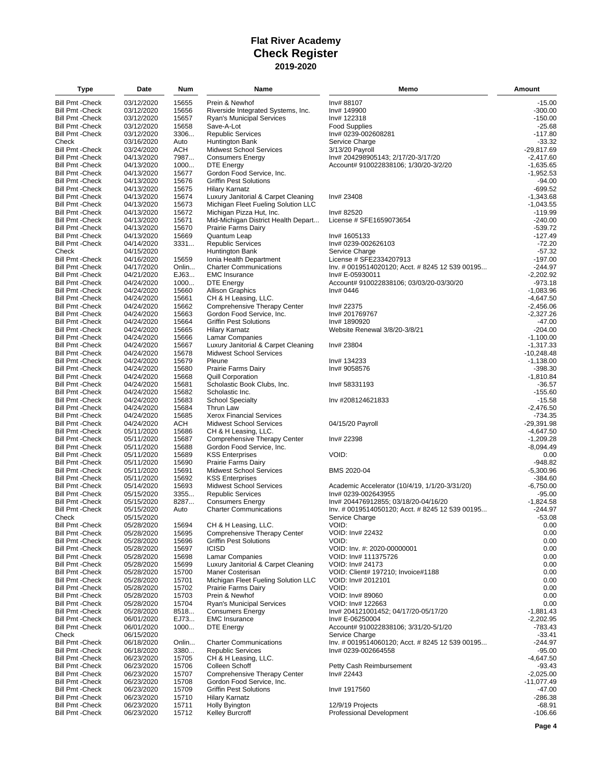| Type                                               | Date                     | Num            | Name                                                                       | Memo                                            | Amount                      |
|----------------------------------------------------|--------------------------|----------------|----------------------------------------------------------------------------|-------------------------------------------------|-----------------------------|
| <b>Bill Pmt - Check</b>                            | 03/12/2020               | 15655          | Prein & Newhof                                                             | Inv# 88107                                      | $-15.00$                    |
| <b>Bill Pmt - Check</b>                            | 03/12/2020               | 15656          | Riverside Integrated Systems, Inc.                                         | Inv# 149900                                     | $-300.00$                   |
| <b>Bill Pmt - Check</b>                            | 03/12/2020               | 15657          | <b>Ryan's Municipal Services</b>                                           | Inv# 122318                                     | $-150.00$                   |
| <b>Bill Pmt - Check</b>                            | 03/12/2020               | 15658          | Save-A-Lot                                                                 | <b>Food Supplies</b>                            | $-25.68$                    |
| <b>Bill Pmt - Check</b>                            | 03/12/2020               | 3306           | <b>Republic Services</b>                                                   | Inv# 0239-002608281                             | $-117.80$                   |
| Check                                              | 03/16/2020               | Auto           | Huntington Bank                                                            | Service Charge                                  | $-33.32$                    |
| <b>Bill Pmt - Check</b>                            | 03/24/2020               | <b>ACH</b>     | <b>Midwest School Services</b>                                             | 3/13/20 Payroll                                 | $-29,817.69$                |
| <b>Bill Pmt - Check</b>                            | 04/13/2020               | 7987           | <b>Consumers Energy</b>                                                    | Inv# 204298905143; 2/17/20-3/17/20              | $-2,417.60$                 |
| <b>Bill Pmt - Check</b>                            | 04/13/2020               | 1000           | DTE Energy                                                                 | Account# 910022838106; 1/30/20-3/2/20           | $-1,635.65$                 |
| <b>Bill Pmt - Check</b>                            | 04/13/2020               | 15677          | Gordon Food Service, Inc.                                                  |                                                 | $-1,952.53$                 |
| <b>Bill Pmt - Check</b>                            | 04/13/2020               | 15676          | <b>Griffin Pest Solutions</b>                                              |                                                 | $-94.00$                    |
| <b>Bill Pmt - Check</b>                            | 04/13/2020               | 15675          | <b>Hilary Karnatz</b>                                                      |                                                 | $-699.52$                   |
| <b>Bill Pmt - Check</b>                            | 04/13/2020               | 15674          | Luxury Janitorial & Carpet Cleaning<br>Michigan Fleet Fueling Solution LLC | Inv# 23408                                      | $-1,343.68$                 |
| <b>Bill Pmt - Check</b><br><b>Bill Pmt - Check</b> | 04/13/2020<br>04/13/2020 | 15673<br>15672 | Michigan Pizza Hut, Inc.                                                   | Inv# 82520                                      | $-1,043.55$<br>$-119.99$    |
| <b>Bill Pmt - Check</b>                            | 04/13/2020               | 15671          | Mid-Michigan District Health Depart                                        | License # SFE1659073654                         | $-240.00$                   |
| <b>Bill Pmt - Check</b>                            | 04/13/2020               | 15670          | <b>Prairie Farms Dairy</b>                                                 |                                                 | -539.72                     |
| <b>Bill Pmt - Check</b>                            | 04/13/2020               | 15669          | Quantum Leap                                                               | Inv# 1605133                                    | $-127.49$                   |
| <b>Bill Pmt - Check</b>                            | 04/14/2020               | 3331           | <b>Republic Services</b>                                                   | Inv# 0239-002626103                             | $-72.20$                    |
| Check                                              | 04/15/2020               |                | Huntington Bank                                                            | Service Charge                                  | $-57.32$                    |
| <b>Bill Pmt - Check</b>                            | 04/16/2020               | 15659          | Ionia Health Department                                                    | License # SFE2334207913                         | $-197.00$                   |
| <b>Bill Pmt - Check</b>                            | 04/17/2020               | Onlin          | <b>Charter Communications</b>                                              | lnv. # 0019514020120; Acct. # 8245 12 539 00195 | $-244.97$                   |
| <b>Bill Pmt - Check</b>                            | 04/21/2020               | EJ63           | <b>EMC</b> Insurance                                                       | Inv# E-05930011                                 | $-2,202.92$                 |
| <b>Bill Pmt - Check</b>                            | 04/24/2020               | 1000           | DTE Energy                                                                 | Account# 910022838106; 03/03/20-03/30/20        | $-973.18$                   |
| <b>Bill Pmt - Check</b>                            | 04/24/2020               | 15660          | <b>Allison Graphics</b>                                                    | Inv# 0446                                       | $-1,083.96$                 |
| <b>Bill Pmt - Check</b>                            | 04/24/2020               | 15661          | CH & H Leasing, LLC.                                                       |                                                 | $-4,647.50$                 |
| <b>Bill Pmt - Check</b>                            | 04/24/2020               | 15662          | Comprehensive Therapy Center                                               | Inv# 22375                                      | $-2,456.06$                 |
| <b>Bill Pmt - Check</b>                            | 04/24/2020               | 15663          | Gordon Food Service, Inc.                                                  | Inv# 201769767                                  | $-2,327.26$                 |
| <b>Bill Pmt - Check</b>                            | 04/24/2020               | 15664          | <b>Griffin Pest Solutions</b>                                              | Inv# 1890920                                    | $-47.00$                    |
| <b>Bill Pmt - Check</b>                            | 04/24/2020               | 15665          | <b>Hilary Karnatz</b>                                                      | Website Renewal 3/8/20-3/8/21                   | $-204.00$                   |
| <b>Bill Pmt - Check</b>                            | 04/24/2020               | 15666          | Lamar Companies                                                            |                                                 | $-1,100.00$                 |
| <b>Bill Pmt - Check</b><br><b>Bill Pmt - Check</b> | 04/24/2020<br>04/24/2020 | 15667<br>15678 | Luxury Janitorial & Carpet Cleaning<br><b>Midwest School Services</b>      | Inv# 23804                                      | $-1,317.33$<br>$-10,248.48$ |
| <b>Bill Pmt - Check</b>                            | 04/24/2020               | 15679          | Pleune                                                                     | Inv# 134233                                     | $-1,138.00$                 |
| <b>Bill Pmt - Check</b>                            | 04/24/2020               | 15680          | Prairie Farms Dairy                                                        | Inv# 9058576                                    | -398.30                     |
| <b>Bill Pmt - Check</b>                            | 04/24/2020               | 15668          | <b>Quill Corporation</b>                                                   |                                                 | $-1,810.84$                 |
| <b>Bill Pmt - Check</b>                            | 04/24/2020               | 15681          | Scholastic Book Clubs, Inc.                                                | Inv# 58331193                                   | -36.57                      |
| <b>Bill Pmt - Check</b>                            | 04/24/2020               | 15682          | Scholastic Inc.                                                            |                                                 | $-155.60$                   |
| <b>Bill Pmt - Check</b>                            | 04/24/2020               | 15683          | <b>School Specialty</b>                                                    | Inv #208124621833                               | $-15.58$                    |
| <b>Bill Pmt - Check</b>                            | 04/24/2020               | 15684          | Thrun Law                                                                  |                                                 | $-2,476.50$                 |
| <b>Bill Pmt - Check</b>                            | 04/24/2020               | 15685          | <b>Xerox Financial Services</b>                                            |                                                 | $-734.35$                   |
| <b>Bill Pmt - Check</b>                            | 04/24/2020               | ACH            | <b>Midwest School Services</b>                                             | 04/15/20 Payroll                                | $-29,391.98$                |
| <b>Bill Pmt - Check</b>                            | 05/11/2020               | 15686          | CH & H Leasing, LLC.                                                       |                                                 | $-4,647.50$                 |
| <b>Bill Pmt - Check</b>                            | 05/11/2020               | 15687          | Comprehensive Therapy Center                                               | Inv# 22398                                      | $-1,209.28$                 |
| <b>Bill Pmt - Check</b>                            | 05/11/2020               | 15688          | Gordon Food Service, Inc.                                                  |                                                 | $-8,094.49$                 |
| <b>Bill Pmt - Check</b>                            | 05/11/2020               | 15689          | <b>KSS Enterprises</b>                                                     | VOID:                                           | 0.00                        |
| <b>Bill Pmt - Check</b>                            | 05/11/2020               | 15690          | <b>Prairie Farms Dairy</b>                                                 |                                                 | $-948.82$                   |
| <b>Bill Pmt - Check</b><br><b>Bill Pmt - Check</b> | 05/11/2020<br>05/11/2020 | 15691<br>15692 | Midwest School Services<br><b>KSS Enterprises</b>                          | BMS 2020-04                                     | $-5,300.96$<br>$-384.60$    |
| <b>Bill Pmt - Check</b>                            | 05/14/2020               | 15693          | <b>Midwest School Services</b>                                             | Academic Accelerator (10/4/19, 1/1/20-3/31/20)  | $-6,750.00$                 |
| <b>Bill Pmt - Check</b>                            | 05/15/2020               | 3355           | <b>Republic Services</b>                                                   | Inv# 0239-002643955                             | $-95.00$                    |
| <b>Bill Pmt - Check</b>                            | 05/15/2020               | 8287           | <b>Consumers Energy</b>                                                    | Inv# 204476912855; 03/18/20-04/16/20            | $-1,824.58$                 |
| <b>Bill Pmt - Check</b>                            | 05/15/2020               | Auto           | <b>Charter Communications</b>                                              | Inv. # 0019514050120; Acct. # 8245 12 539 00195 | $-244.97$                   |
| Check                                              | 05/15/2020               |                |                                                                            | Service Charge                                  | $-53.08$                    |
| <b>Bill Pmt - Check</b>                            | 05/28/2020               | 15694          | CH & H Leasing, LLC.                                                       | VOID:                                           | 0.00                        |
| <b>Bill Pmt - Check</b>                            | 05/28/2020               | 15695          | <b>Comprehensive Therapy Center</b>                                        | VOID: Inv# 22432                                | 0.00                        |
| <b>Bill Pmt - Check</b>                            | 05/28/2020               | 15696          | <b>Griffin Pest Solutions</b>                                              | VOID:                                           | 0.00                        |
| <b>Bill Pmt - Check</b>                            | 05/28/2020               | 15697          | <b>ICISD</b>                                                               | VOID: Inv. #: 2020-00000001                     | 0.00                        |
| <b>Bill Pmt - Check</b>                            | 05/28/2020               | 15698          | Lamar Companies                                                            | VOID: Inv# 111375726                            | 0.00                        |
| <b>Bill Pmt - Check</b>                            | 05/28/2020               | 15699          | Luxury Janitorial & Carpet Cleaning                                        | VOID: Inv# 24173                                | 0.00                        |
| <b>Bill Pmt - Check</b>                            | 05/28/2020               | 15700          | Maner Costerisan                                                           | VOID: Client# 197210; Invoice#1188              | 0.00                        |
| <b>Bill Pmt - Check</b>                            | 05/28/2020               | 15701          | Michigan Fleet Fueling Solution LLC                                        | VOID: Inv# 2012101                              | 0.00                        |
| <b>Bill Pmt - Check</b>                            | 05/28/2020               | 15702          | <b>Prairie Farms Dairy</b>                                                 | VOID:<br>VOID: Inv# 89060                       | 0.00<br>0.00                |
| <b>Bill Pmt - Check</b><br><b>Bill Pmt - Check</b> | 05/28/2020<br>05/28/2020 | 15703<br>15704 | Prein & Newhof<br><b>Ryan's Municipal Services</b>                         | VOID: Inv# 122663                               | 0.00                        |
| <b>Bill Pmt - Check</b>                            | 05/28/2020               | 8518           | <b>Consumers Energy</b>                                                    | Inv# 204121001452; 04/17/20-05/17/20            | $-1,881.43$                 |
| <b>Bill Pmt - Check</b>                            | 06/01/2020               | EJ73           | <b>EMC Insurance</b>                                                       | Inv# E-06250004                                 | $-2,202.95$                 |
| <b>Bill Pmt - Check</b>                            | 06/01/2020               | 1000           | <b>DTE Energy</b>                                                          | Account# 910022838106; 3/31/20-5/1/20           | $-783.43$                   |
| Check                                              | 06/15/2020               |                |                                                                            | Service Charge                                  | $-33.41$                    |
| <b>Bill Pmt - Check</b>                            | 06/18/2020               | Onlin          | <b>Charter Communications</b>                                              | Inv. # 0019514060120; Acct. # 8245 12 539 00195 | $-244.97$                   |
| <b>Bill Pmt - Check</b>                            | 06/18/2020               | 3380           | <b>Republic Services</b>                                                   | Inv# 0239-002664558                             | $-95.00$                    |
| <b>Bill Pmt - Check</b>                            | 06/23/2020               | 15705          | CH & H Leasing, LLC.                                                       |                                                 | $-4,647.50$                 |
| <b>Bill Pmt - Check</b>                            | 06/23/2020               | 15706          | Colleen Schoff                                                             | Petty Cash Reimbursement                        | -93.43                      |
| <b>Bill Pmt - Check</b>                            | 06/23/2020               | 15707          | Comprehensive Therapy Center                                               | Inv# 22443                                      | $-2,025.00$                 |
| <b>Bill Pmt - Check</b>                            | 06/23/2020               | 15708          | Gordon Food Service, Inc.                                                  |                                                 | $-11,077.49$                |
| <b>Bill Pmt - Check</b>                            | 06/23/2020               | 15709          | <b>Griffin Pest Solutions</b>                                              | Inv# 1917560                                    | $-47.00$                    |
| <b>Bill Pmt - Check</b>                            | 06/23/2020               | 15710          | <b>Hilary Karnatz</b>                                                      |                                                 | -286.38                     |
| <b>Bill Pmt - Check</b>                            | 06/23/2020               | 15711          | <b>Holly Byington</b>                                                      | 12/9/19 Projects                                | $-68.91$                    |
| <b>Bill Pmt - Check</b>                            | 06/23/2020               | 15712          | <b>Kelley Burcroff</b>                                                     | Professional Development                        | $-106.66$                   |